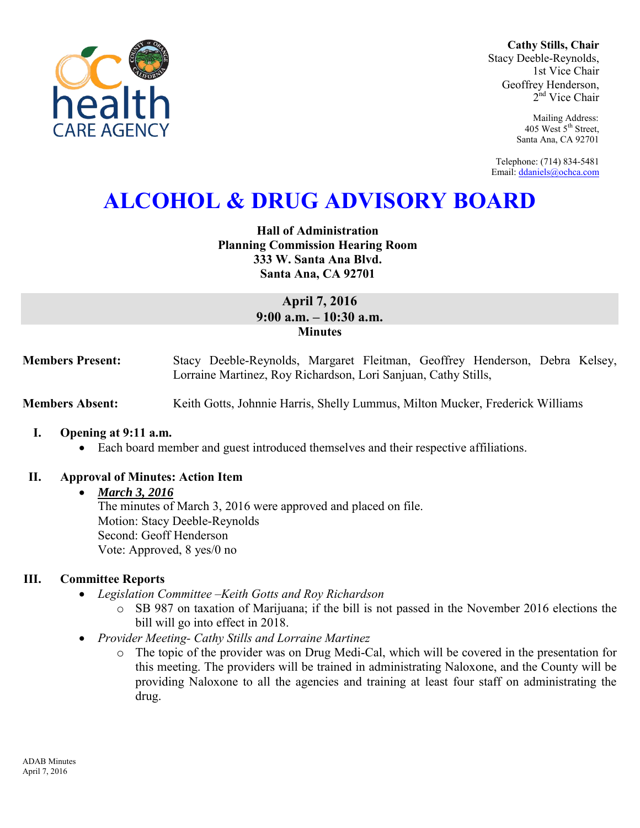

**Cathy Stills, Chair** Stacy Deeble-Reynolds, 1st Vice Chair Geoffrey Henderson, 2<sup>nd</sup> Vice Chair

> Mailing Address: 405 West 5<sup>th</sup> Street, Santa Ana, CA 92701

Telephone: (714) 834-5481 Email[: ddaniels@ochca.com](mailto:ddaniels@ochca.com)

# **ALCOHOL & DRUG ADVISORY BOARD**

## **Hall of Administration Planning Commission Hearing Room 333 W. Santa Ana Blvd. Santa Ana, CA 92701**

# **April 7, 2016 9:00 a.m. – 10:30 a.m. Minutes**

**Members Present:** Stacy Deeble-Reynolds, Margaret Fleitman, Geoffrey Henderson, Debra Kelsey, Lorraine Martinez, Roy Richardson, Lori Sanjuan, Cathy Stills,

**Members Absent:** Keith Gotts, Johnnie Harris, Shelly Lummus, Milton Mucker, Frederick Williams

- **I. Opening at 9:11 a.m.** 
	- Each board member and guest introduced themselves and their respective affiliations.

#### **II. Approval of Minutes: Action Item**

#### *March 3, 2016*

The minutes of March 3, 2016 were approved and placed on file. Motion: Stacy Deeble-Reynolds Second: Geoff Henderson Vote: Approved, 8 yes/0 no

#### **III. Committee Reports**

- *Legislation Committee –Keith Gotts and Roy Richardson* 
	- o SB 987 on taxation of Marijuana; if the bill is not passed in the November 2016 elections the bill will go into effect in 2018.
- *Provider Meeting- Cathy Stills and Lorraine Martinez* 
	- o The topic of the provider was on Drug Medi-Cal, which will be covered in the presentation for this meeting. The providers will be trained in administrating Naloxone, and the County will be providing Naloxone to all the agencies and training at least four staff on administrating the drug.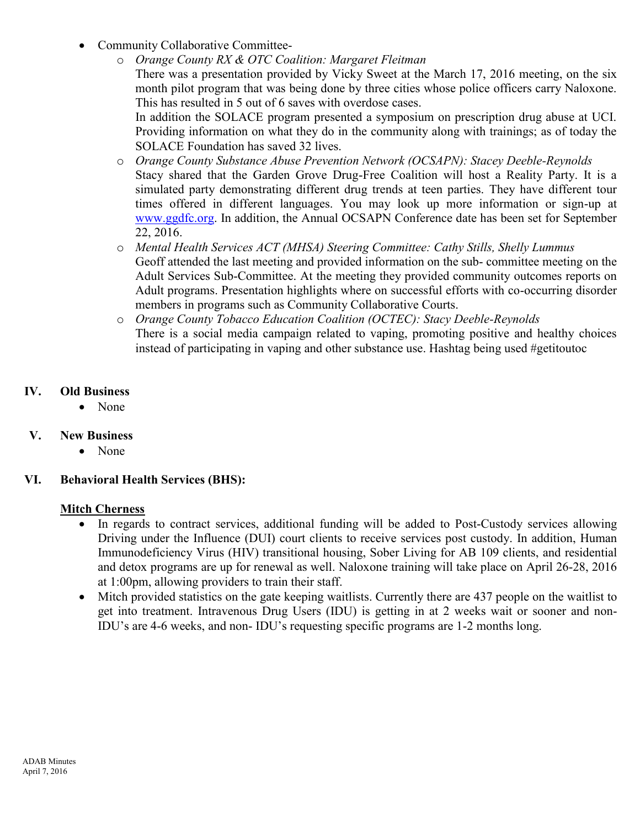- Community Collaborative Committee
	- o *Orange County RX & OTC Coalition: Margaret Fleitman*  There was a presentation provided by Vicky Sweet at the March 17, 2016 meeting, on the six month pilot program that was being done by three cities whose police officers carry Naloxone. This has resulted in 5 out of 6 saves with overdose cases.

In addition the SOLACE program presented a symposium on prescription drug abuse at UCI. Providing information on what they do in the community along with trainings; as of today the SOLACE Foundation has saved 32 lives.

- o *Orange County Substance Abuse Prevention Network (OCSAPN): Stacey Deeble-Reynolds*  Stacy shared that the Garden Grove Drug-Free Coalition will host a Reality Party. It is a simulated party demonstrating different drug trends at teen parties. They have different tour times offered in different languages. You may look up more information or sign-up at [www.ggdfc.org.](http://www.ggdfc.org/) In addition, the Annual OCSAPN Conference date has been set for September 22, 2016.
- o *Mental Health Services ACT (MHSA) Steering Committee: Cathy Stills, Shelly Lummus*  Geoff attended the last meeting and provided information on the sub- committee meeting on the Adult Services Sub-Committee. At the meeting they provided community outcomes reports on Adult programs. Presentation highlights where on successful efforts with co-occurring disorder members in programs such as Community Collaborative Courts.
- o *Orange County Tobacco Education Coalition (OCTEC): Stacy Deeble-Reynolds*  There is a social media campaign related to vaping, promoting positive and healthy choices instead of participating in vaping and other substance use. Hashtag being used #getitoutoc

# **IV. Old Business**

• None

# **V. New Business**

• None

# **VI. Behavioral Health Services (BHS):**

## **Mitch Cherness**

- In regards to contract services, additional funding will be added to Post-Custody services allowing Driving under the Influence (DUI) court clients to receive services post custody. In addition, Human Immunodeficiency Virus (HIV) transitional housing, Sober Living for AB 109 clients, and residential and detox programs are up for renewal as well. Naloxone training will take place on April 26-28, 2016 at 1:00pm, allowing providers to train their staff.
- Mitch provided statistics on the gate keeping waitlists. Currently there are 437 people on the waitlist to get into treatment. Intravenous Drug Users (IDU) is getting in at 2 weeks wait or sooner and non-IDU's are 4-6 weeks, and non- IDU's requesting specific programs are 1-2 months long.